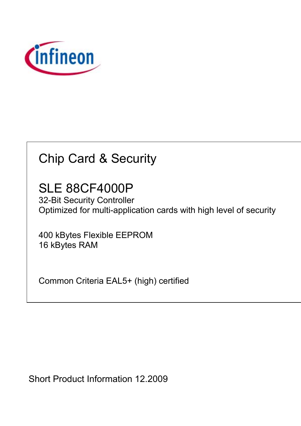

# Chip Card & Security

SLE 88CF4000P

32-Bit Security Controller Optimized for multi-application cards with high level of security

400 kBytes Flexible EEPROM 16 kBytes RAM

Common Criteria EAL5+ (high) certified

Short Product Information 12.2009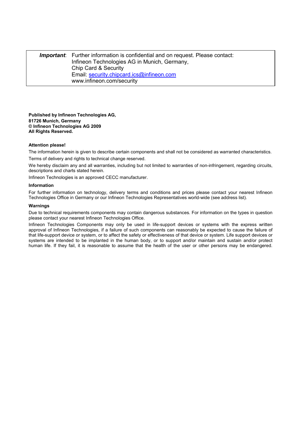*Important*: Further information is confidential and on request. Please contact: Infineon Technologies AG in Munich, Germany, Chip Card & Security Email: security.chipcard.ics@infineon.com www.infineon.com/security

**Published by Infineon Technologies AG, 81726 Munich, Germany © Infineon Technologies AG 2009 All Rights Reserved.** 

#### **Attention please!**

The information herein is given to describe certain components and shall not be considered as warranted characteristics. Terms of delivery and rights to technical change reserved.

We herebv disclaim any and all warranties, including but not limited to warranties of non-infringement, regarding circuits, descriptions and charts stated herein.

Infineon Technologies is an approved CECC manufacturer.

#### **Information**

For further information on technology, delivery terms and conditions and prices please contact your nearest Infineon Technologies Office in Germany or our Infineon Technologies Representatives world-wide (see address list).

#### **Warnings**

Due to technical requirements components may contain dangerous substances. For information on the types in question please contact your nearest Infineon Technologies Office.

Infineon Technologies Components may only be used in life-support devices or systems with the express written approval of Infineon Technologies, if a failure of such components can reasonably be expected to cause the failure of that life-support device or system, or to affect the safety or effectiveness of that device or system. Life support devices or systems are intended to be implanted in the human body, or to support and/or maintain and sustain and/or protect human life. If they fail, it is reasonable to assume that the health of the user or other persons may be endangered.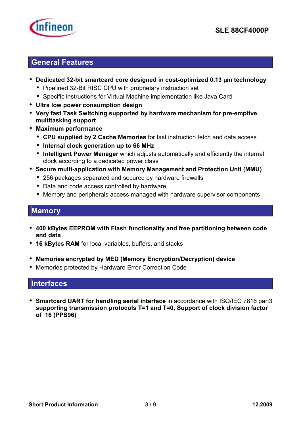

#### **General Features**

- **Dedicated 32-bit smartcard core designed in cost-optimized 0.13 µm technology**
	- Pipelined 32-Bit RISC CPU with proprietary instruction set
	- Specific instructions for Virtual Machine implementation like Java Card
- **Ultra low power consumption design**
- **Very fast Task Switching supported by hardware mechanism for pre-emptive multitasking support**
- **Maximum performance** 
	- **CPU supplied by 2 Cache Memories** for fast instruction fetch and data access
	- **Internal clock generation up to 66 MHz**
	- **Intelligent Power Manager** which adjusts automatically and efficiently the internal clock according to a dedicated power class
- **Secure multi-application with Memory Management and Protection Unit (MMU)** 
	- 256 packages separated and secured by hardware firewalls
	- Data and code access controlled by hardware
	- Memory and peripherals access managed with hardware supervisor components

### **Memory**

- **400 kBytes EEPROM with Flash functionality and free partitioning between code and data**
- **16 kBytes RAM** for local variables, buffers, and stacks
- **Memories encrypted by MED (Memory Encryption/Decryption) device**
- Memories protected by Hardware Error Correction Code

#### **Interfaces**

• **Smartcard UART for handling serial interface** in accordance with ISO/IEC 7816 part3 **supporting transmission protocols T=1 and T=0, Support of clock division factor of 16 (PPS96)**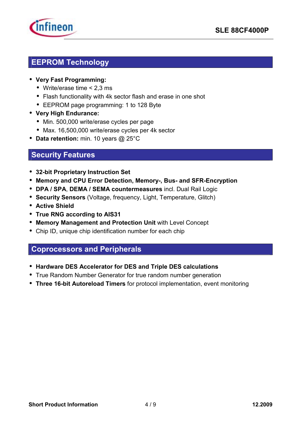

# **EEPROM Technology**

- **Very Fast Programming:** 
	- Write/erase time < 2,3 ms
	- Flash functionality with 4k sector flash and erase in one shot
	- EEPROM page programming: 1 to 128 Byte
- **Very High Endurance:** 
	- Min. 500,000 write/erase cycles per page
	- Max. 16,500,000 write/erase cycles per 4k sector
- **Data retention:** min. 10 years @ 25°C

#### **Security Features**

- **32-bit Proprietary Instruction Set**
- **Memory and CPU Error Detection, Memory-, Bus- and SFR-Encryption**
- **DPA / SPA**, **DEMA / SEMA countermeasures** incl. Dual Rail Logic
- **Security Sensors** (Voltage, frequency, Light, Temperature, Glitch)
- **Active Shield**
- **True RNG according to AIS31**
- **Memory Management and Protection Unit** with Level Concept
- Chip ID, unique chip identification number for each chip

### **Coprocessors and Peripherals**

- **Hardware DES Accelerator for DES and Triple DES calculations**
- True Random Number Generator for true random number generation
- **Three 16-bit Autoreload Timers** for protocol implementation, event monitoring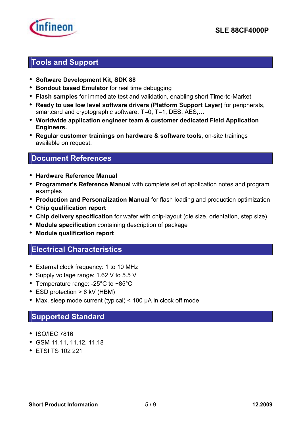

### **Tools and Support**

- **Software Development Kit, SDK 88**
- **Bondout based Emulator** for real time debugging
- **Flash samples** for immediate test and validation, enabling short Time-to-Market
- **Ready to use low level software drivers (Platform Support Layer)** for peripherals, smartcard and cryptographic software: T=0, T=1, DES, AES,...
- **Worldwide application engineer team & customer dedicated Field Application Engineers.**
- **Regular customer trainings on hardware & software tools**, on-site trainings available on request.

#### **Document References**

- **Hardware Reference Manual**
- **Programmerís Reference Manual** with complete set of application notes and program examples
- **Production and Personalization Manual** for flash loading and production optimization
- **Chip qualification report**
- **Chip delivery specification** for wafer with chip-layout (die size, orientation, step size)
- **Module specification** containing description of package
- **Module qualification report**

### **Electrical Characteristics**

- External clock frequency: 1 to 10 MHz
- Supply voltage range: 1.62 V to 5.5 V
- Temperature range: -25°C to +85°C
- ESD protection > 6 kV (HBM)
- Max. sleep mode current (typical) < 100 µA in clock off mode

### **Supported Standard**

- ISO/IEC 7816
- GSM 11.11, 11.12, 11.18
- ETSI TS 102 221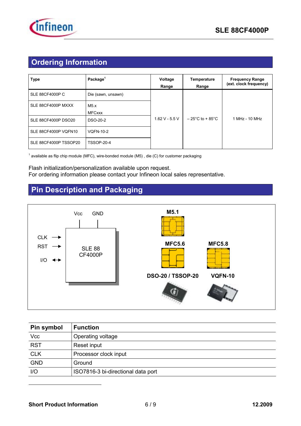

# **Ordering Information**

| <b>Type</b>                | Package <sup>1</sup>  | Voltage<br>Range | <b>Temperature</b><br>Range          | <b>Frequency Range</b><br>(ext. clock frequency) |
|----------------------------|-----------------------|------------------|--------------------------------------|--------------------------------------------------|
| <b>SLE 88CF4000P C</b>     | Die (sawn, unsawn)    |                  |                                      |                                                  |
| SLE 88CF4000P MXXX         | M5.x<br><b>MFCxxx</b> |                  |                                      |                                                  |
| <b>SLE 88CF4000P DSO20</b> | DSO-20-2              | $1.62$ V - 5.5 V | $-25^{\circ}$ C to + 85 $^{\circ}$ C | 1 MHz - 10 MHz                                   |
| SLE 88CF4000P VQFN10       | <b>VQFN-10-2</b>      |                  |                                      |                                                  |
| SLE 88CF4000P TSSOP20      | <b>TSSOP-20-4</b>     |                  |                                      |                                                  |

<sup>1</sup> available as flip chip module (MFC), wire-bonded module (M5) , die (C) for customer packaging

#### Flash initialization/personalization available upon request. For ordering information please contact your Infineon local sales representative.

# **Pin Description and Packaging**



| Pin symbol | <b>Function</b>                    |
|------------|------------------------------------|
| Vcc        | Operating voltage                  |
| RST        | Reset input                        |
| CLK        | Processor clock input              |
| <b>GND</b> | Ground                             |
| I/O        | ISO7816-3 bi-directional data port |

 $\overline{a}$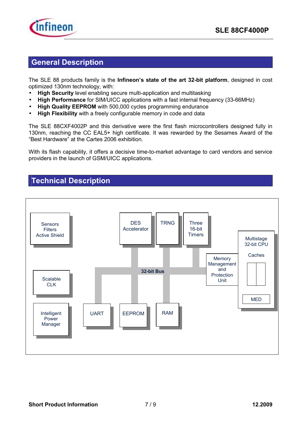

#### **General Description**

The SLE 88 products family is the **Infineon's state of the art 32-bit platform**, designed in cost optimized 130nm technology, with:

- **High Security** level enabling secure multi-application and multitasking
- **High Performance** for SIM/UICC applications with a fast internal frequency (33-66MHz)
- **High Quality EEPROM** with 500,000 cycles programming endurance
- **High Flexibility** with a freely configurable memory in code and data

The SLE 88CXF4002P and this derivative were the first flash microcontrollers designed fully in 130nm, reaching the CC EAL5+ high certificate. It was rewarded by the Sesames Award of the "Best Hardware" at the Cartes 2006 exhibition.

With its flash capability, it offers a decisive time-to-market advantage to card vendors and service providers in the launch of GSM/UICC applications.

#### **Technical Description**

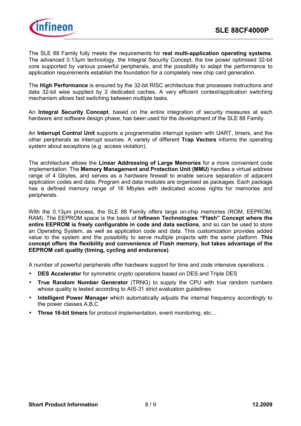

The SLE 88 Family fully meets the requirements for **real multi-application operating systems**. The advanced 0.13µm technology, the Integral Security Concept, the low power optimised 32-bit core supported by various powerful peripherals, and the possibility to adapt the performance to application requirements establish the foundation for a completely new chip card generation.

The **High Performance** is ensured by the 32-bit RISC architecture that processes instructions and data 32-bit wise supplied by 2 dedicated caches. A very efficient context/application switching mechanism allows fast switching between multiple tasks.

An **Integral Security Concept**, based on the entire integration of security measures at each hardware and software design phase, has been used for the development of the SLE 88 Family.

An **Interrupt Control Unit** supports a programmable interrupt system with UART, timers, and the other peripherals as interrupt sources. A variety of different **Trap Vectors** informs the operating system about exceptions (e.g. access violation).

The architecture allows the **Linear Addressing of Large Memories** for a more convenient code implementation. The **Memory Management and Protection Unit (MMU)** handles a virtual address range of 4 Gbytes, and serves as a hardware firewall to enable secure separation of adjacent application codes and data. Program and data modules are organised as packages. Each package has a defined memory range of 16 Mbytes with dedicated access rights for memories and peripherals.

With the 0.13um process, the SLE 88 Family offers large on-chip memories (ROM, EEPROM, RAM). The EEPROM space is the basis of **Infineon Technologies "Flash" Concept where the entire EEPROM is freely configurable in code and data sections**, and so can be used to store an Operating System, as well as application code and data. This customization provides added value to the system and the possibility to serve multiple projects with the same platform. **This concept offers the flexibility and convenience of Flash memory, but takes advantage of the EEPROM cell quality (timing, cycling and endurance)**.

A number of powerful peripherals offer hardware support for time and code intensive operations. :

- **DES Accelerator** for symmetric crypto operations based on DES and Triple DES
- **True Random Number Generator** (TRNG) to supply the CPU with true random numbers whose quality is tested according to AIS-31 strict evaluation guidelines
- **Intelligent Power Manager** which automatically adjusts the internal frequency accordingly to the power classes A,B,C
- **Three 16-bit timers** for protocol implementation, event monitoring, etc...